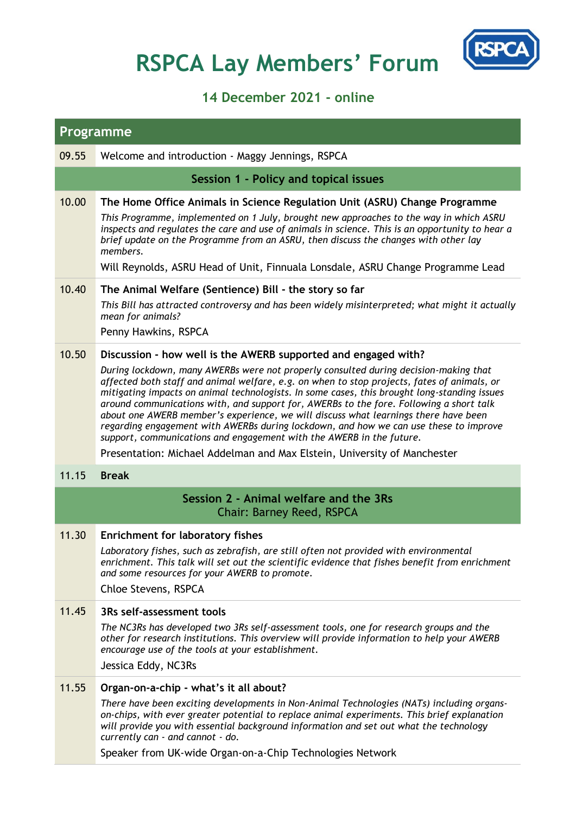## **RSPCA Lay Members' Forum**



## **14 December 2021 - online**

| <b>Programme</b>                                                    |                                                                                                                                                                                                                                                                                                                                                                                                                                                                                                                                                                                                                                        |  |
|---------------------------------------------------------------------|----------------------------------------------------------------------------------------------------------------------------------------------------------------------------------------------------------------------------------------------------------------------------------------------------------------------------------------------------------------------------------------------------------------------------------------------------------------------------------------------------------------------------------------------------------------------------------------------------------------------------------------|--|
| 09.55                                                               | Welcome and introduction - Maggy Jennings, RSPCA                                                                                                                                                                                                                                                                                                                                                                                                                                                                                                                                                                                       |  |
|                                                                     | Session 1 - Policy and topical issues                                                                                                                                                                                                                                                                                                                                                                                                                                                                                                                                                                                                  |  |
| 10.00                                                               | The Home Office Animals in Science Regulation Unit (ASRU) Change Programme<br>This Programme, implemented on 1 July, brought new approaches to the way in which ASRU<br>inspects and regulates the care and use of animals in science. This is an opportunity to hear a<br>brief update on the Programme from an ASRU, then discuss the changes with other lay<br>members.<br>Will Reynolds, ASRU Head of Unit, Finnuala Lonsdale, ASRU Change Programme Lead                                                                                                                                                                          |  |
| 10.40                                                               | The Animal Welfare (Sentience) Bill - the story so far                                                                                                                                                                                                                                                                                                                                                                                                                                                                                                                                                                                 |  |
|                                                                     | This Bill has attracted controversy and has been widely misinterpreted; what might it actually<br>mean for animals?<br>Penny Hawkins, RSPCA                                                                                                                                                                                                                                                                                                                                                                                                                                                                                            |  |
| 10.50                                                               | Discussion - how well is the AWERB supported and engaged with?                                                                                                                                                                                                                                                                                                                                                                                                                                                                                                                                                                         |  |
|                                                                     | During lockdown, many AWERBs were not properly consulted during decision-making that<br>affected both staff and animal welfare, e.g. on when to stop projects, fates of animals, or<br>mitigating impacts on animal technologists. In some cases, this brought long-standing issues<br>around communications with, and support for, AWERBs to the fore. Following a short talk<br>about one AWERB member's experience, we will discuss what learnings there have been<br>regarding engagement with AWERBs during lockdown, and how we can use these to improve<br>support, communications and engagement with the AWERB in the future. |  |
| 11.15                                                               | Presentation: Michael Addelman and Max Elstein, University of Manchester<br><b>Break</b>                                                                                                                                                                                                                                                                                                                                                                                                                                                                                                                                               |  |
|                                                                     |                                                                                                                                                                                                                                                                                                                                                                                                                                                                                                                                                                                                                                        |  |
| Session 2 - Animal welfare and the 3Rs<br>Chair: Barney Reed, RSPCA |                                                                                                                                                                                                                                                                                                                                                                                                                                                                                                                                                                                                                                        |  |
| 11.30                                                               | <b>Enrichment for laboratory fishes</b><br>Laboratory fishes, such as zebrafish, are still often not provided with environmental<br>enrichment. This talk will set out the scientific evidence that fishes benefit from enrichment<br>and some resources for your AWERB to promote.<br>Chloe Stevens, RSPCA                                                                                                                                                                                                                                                                                                                            |  |
| 11.45                                                               | 3Rs self-assessment tools<br>The NC3Rs has developed two 3Rs self-assessment tools, one for research groups and the<br>other for research institutions. This overview will provide information to help your AWERB<br>encourage use of the tools at your establishment.<br>Jessica Eddy, NC3Rs                                                                                                                                                                                                                                                                                                                                          |  |
| 11.55                                                               | Organ-on-a-chip - what's it all about?<br>There have been exciting developments in Non-Animal Technologies (NATs) including organs-<br>on-chips, with ever greater potential to replace animal experiments. This brief explanation<br>will provide you with essential background information and set out what the technology<br>currently can - and cannot - do.<br>Speaker from UK-wide Organ-on-a-Chip Technologies Network                                                                                                                                                                                                          |  |